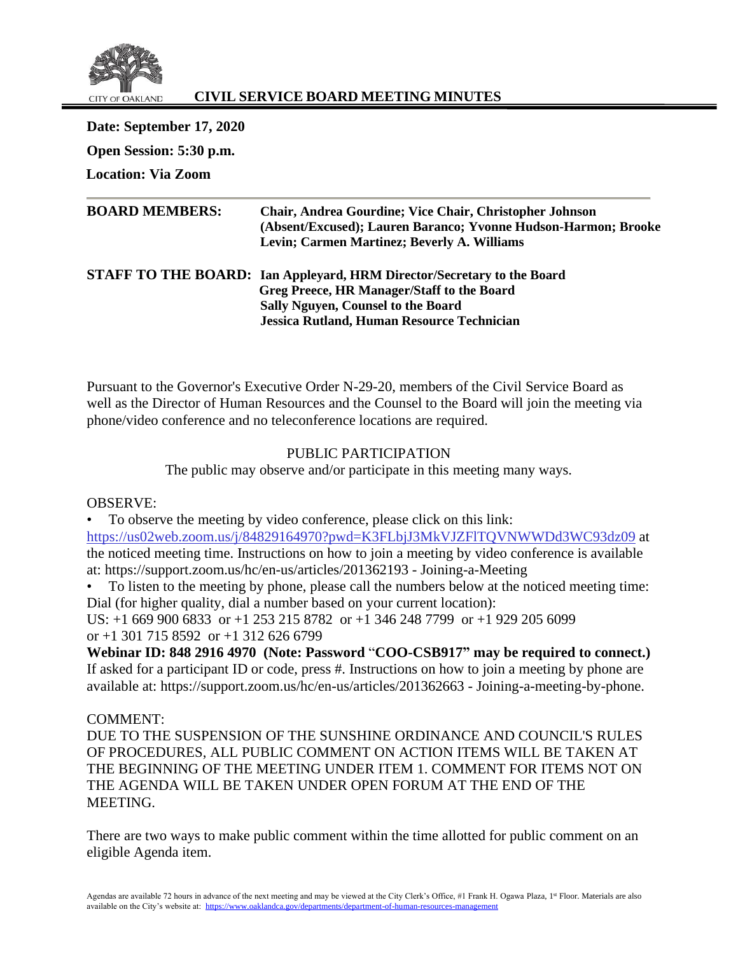

# **CIVIL SERVICE BOARD MEETING MINUTES**

**Date: September 17, 2020 Open Session: 5:30 p.m. Location: Via Zoom**

| <b>BOARD MEMBERS:</b> | <b>Chair, Andrea Gourdine; Vice Chair, Christopher Johnson</b><br>(Absent/Excused); Lauren Baranco; Yvonne Hudson-Harmon; Brooke<br>Levin; Carmen Martinez; Beverly A. Williams |
|-----------------------|---------------------------------------------------------------------------------------------------------------------------------------------------------------------------------|
|                       | <b>STAFF TO THE BOARD:</b> Ian Appleyard, HRM Director/Secretary to the Board<br>Greg Preece, HR Manager/Staff to the Board<br><b>Sally Nguyen, Counsel to the Board</b>        |
|                       | <b>Jessica Rutland, Human Resource Technician</b>                                                                                                                               |

Pursuant to the Governor's Executive Order N-29-20, members of the Civil Service Board as well as the Director of Human Resources and the Counsel to the Board will join the meeting via phone/video conference and no teleconference locations are required.

# PUBLIC PARTICIPATION

The public may observe and/or participate in this meeting many ways.

OBSERVE:

• To observe the meeting by video conference, please click on this link: <https://us02web.zoom.us/j/84829164970?pwd=K3FLbjJ3MkVJZFlTQVNWWDd3WC93dz09> at the noticed meeting time. Instructions on how to join a meeting by video conference is available at: https://support.zoom.us/hc/en-us/articles/201362193 - Joining-a-Meeting

• To listen to the meeting by phone, please call the numbers below at the noticed meeting time: Dial (for higher quality, dial a number based on your current location):

US: +1 669 900 6833 or +1 253 215 8782 or +1 346 248 7799 or +1 929 205 6099 or  $+1$  301 715 8592 or  $+1$  312 626 6799

**Webinar ID: 848 2916 4970 (Note: Password** "**COO-CSB917" may be required to connect.)** If asked for a participant ID or code, press #. Instructions on how to join a meeting by phone are available at: https://support.zoom.us/hc/en-us/articles/201362663 - Joining-a-meeting-by-phone.

COMMENT:

DUE TO THE SUSPENSION OF THE SUNSHINE ORDINANCE AND COUNCIL'S RULES OF PROCEDURES, ALL PUBLIC COMMENT ON ACTION ITEMS WILL BE TAKEN AT THE BEGINNING OF THE MEETING UNDER ITEM 1. COMMENT FOR ITEMS NOT ON THE AGENDA WILL BE TAKEN UNDER OPEN FORUM AT THE END OF THE MEETING.

There are two ways to make public comment within the time allotted for public comment on an eligible Agenda item.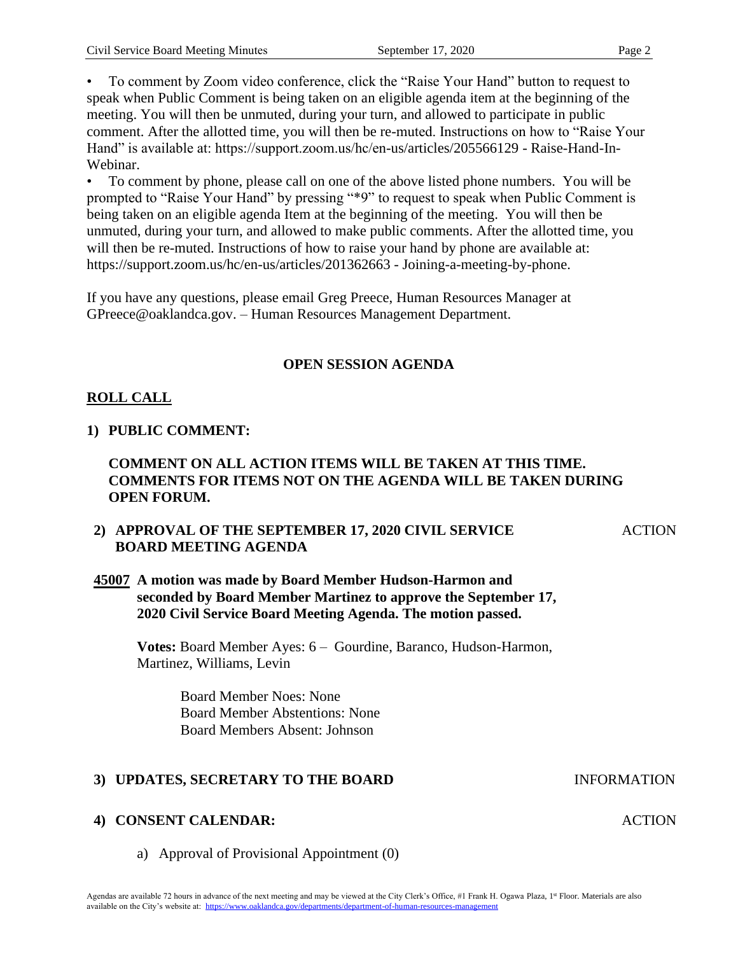• To comment by Zoom video conference, click the "Raise Your Hand" button to request to speak when Public Comment is being taken on an eligible agenda item at the beginning of the meeting. You will then be unmuted, during your turn, and allowed to participate in public comment. After the allotted time, you will then be re-muted. Instructions on how to "Raise Your Hand" is available at: https://support.zoom.us/hc/en-us/articles/205566129 - Raise-Hand-In-Webinar.

• To comment by phone, please call on one of the above listed phone numbers. You will be prompted to "Raise Your Hand" by pressing "\*9" to request to speak when Public Comment is being taken on an eligible agenda Item at the beginning of the meeting. You will then be unmuted, during your turn, and allowed to make public comments. After the allotted time, you will then be re-muted. Instructions of how to raise your hand by phone are available at: https://support.zoom.us/hc/en-us/articles/201362663 - Joining-a-meeting-by-phone.

If you have any questions, please email Greg Preece, Human Resources Manager at GPreece@oaklandca.gov. – Human Resources Management Department.

# **OPEN SESSION AGENDA**

# **ROLL CALL**

# **1) PUBLIC COMMENT:**

### **COMMENT ON ALL ACTION ITEMS WILL BE TAKEN AT THIS TIME. COMMENTS FOR ITEMS NOT ON THE AGENDA WILL BE TAKEN DURING OPEN FORUM.**

# **2) APPROVAL OF THE SEPTEMBER 17, 2020 CIVIL SERVICE BOARD MEETING AGENDA**

#### **45007 A motion was made by Board Member Hudson-Harmon and seconded by Board Member Martinez to approve the September 17, 2020 Civil Service Board Meeting Agenda. The motion passed.**

**Votes:** Board Member Ayes: 6 – Gourdine, Baranco, Hudson-Harmon, Martinez, Williams, Levin

> Board Member Noes: None Board Member Abstentions: None Board Members Absent: Johnson

# **3) UPDATES, SECRETARY TO THE BOARD INFORMATION**

# **4) CONSENT CALENDAR:**

a) Approval of Provisional Appointment (0)

**ACTION** 

ACTION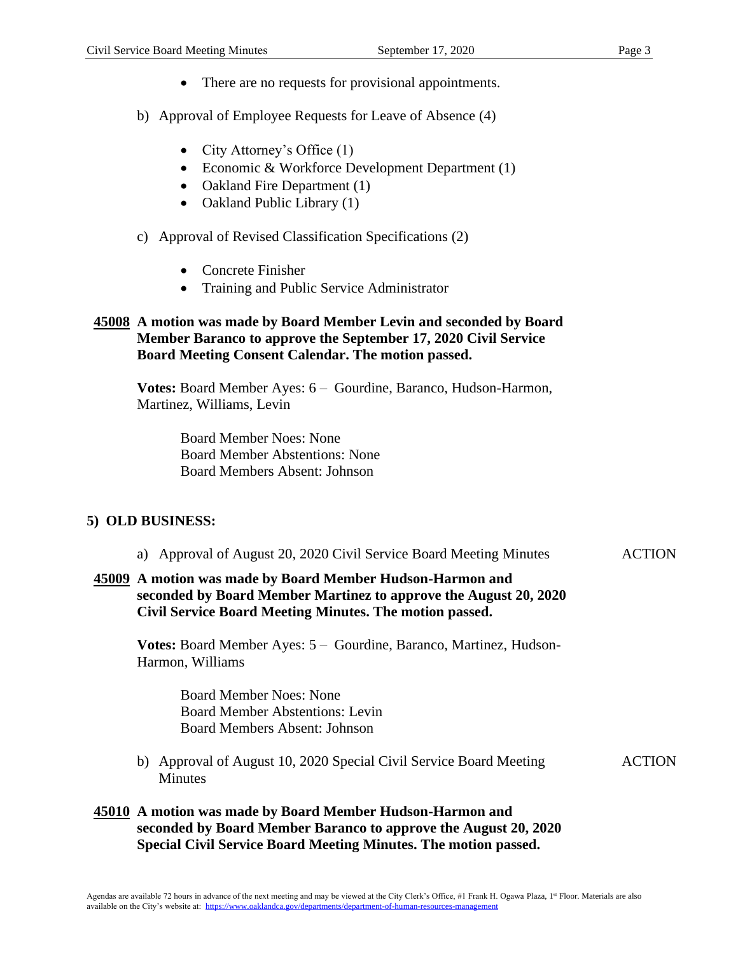- There are no requests for provisional appointments.
- b) Approval of Employee Requests for Leave of Absence (4)
	- City Attorney's Office (1)
	- Economic & Workforce Development Department (1)
	- Oakland Fire Department (1)
	- Oakland Public Library (1)
- c) Approval of Revised Classification Specifications (2)
	- Concrete Finisher
	- Training and Public Service Administrator

### **45008 A motion was made by Board Member Levin and seconded by Board Member Baranco to approve the September 17, 2020 Civil Service Board Meeting Consent Calendar. The motion passed.**

**Votes:** Board Member Ayes: 6 – Gourdine, Baranco, Hudson-Harmon, Martinez, Williams, Levin

> Board Member Noes: None Board Member Abstentions: None Board Members Absent: Johnson

#### **5) OLD BUSINESS:**

| a) Approval of August 20, 2020 Civil Service Board Meeting Minutes                                                                                                                       | <b>ACTION</b> |
|------------------------------------------------------------------------------------------------------------------------------------------------------------------------------------------|---------------|
| 45009 A motion was made by Board Member Hudson-Harmon and<br>seconded by Board Member Martinez to approve the August 20, 2020<br>Civil Service Board Meeting Minutes. The motion passed. |               |
| Votes: Board Member Ayes: 5 – Gourdine, Baranco, Martinez, Hudson-                                                                                                                       |               |

Harmon, Williams

Board Member Noes: None Board Member Abstentions: Levin Board Members Absent: Johnson

- b) Approval of August 10, 2020 Special Civil Service Board Meeting Minutes
- ACTION

# **45010 A motion was made by Board Member Hudson-Harmon and seconded by Board Member Baranco to approve the August 20, 2020 Special Civil Service Board Meeting Minutes. The motion passed.**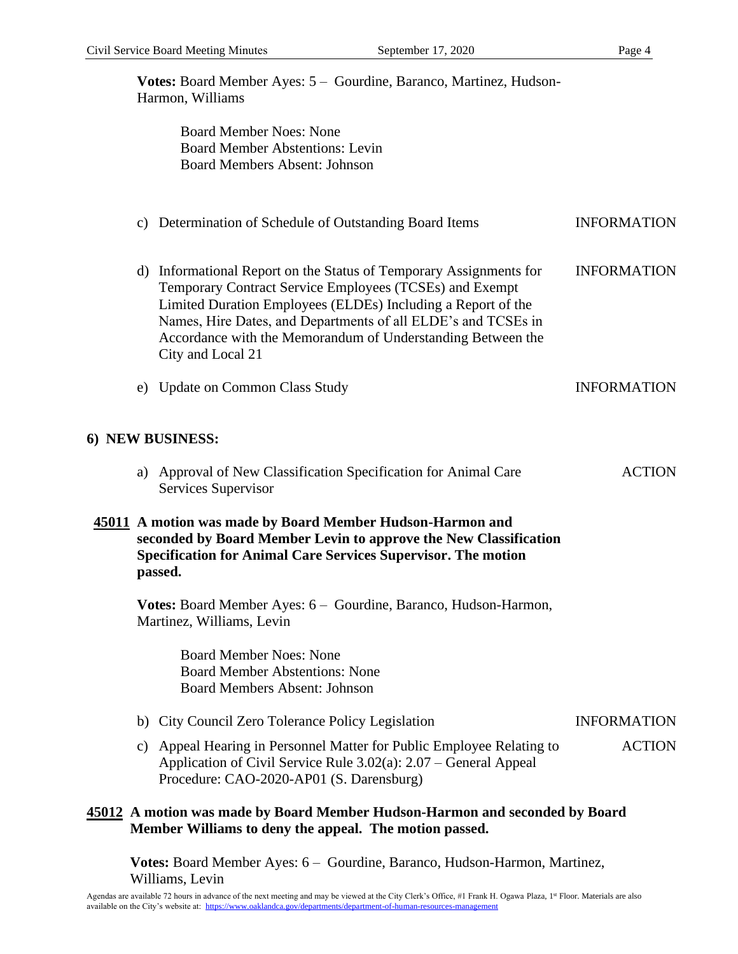**Votes:** Board Member Ayes: 5 – Gourdine, Baranco, Martinez, Hudson-Harmon, Williams Board Member Noes: None Board Member Abstentions: Levin Board Members Absent: Johnson

# c) Determination of Schedule of Outstanding Board Items INFORMATION

- d) Informational Report on the Status of Temporary Assignments for Temporary Contract Service Employees (TCSEs) and Exempt Limited Duration Employees (ELDEs) Including a Report of the Names, Hire Dates, and Departments of all ELDE's and TCSEs in Accordance with the Memorandum of Understanding Between the City and Local 21 INFORMATION
- e) Update on Common Class Study INFORMATION

### **6) NEW BUSINESS:**

a) Approval of New Classification Specification for Animal Care Services Supervisor ACTION

#### **45011 A motion was made by Board Member Hudson-Harmon and seconded by Board Member Levin to approve the New Classification Specification for Animal Care Services Supervisor. The motion passed.**

**Votes:** Board Member Ayes: 6 – Gourdine, Baranco, Hudson-Harmon, Martinez, Williams, Levin

> Board Member Noes: None Board Member Abstentions: None Board Members Absent: Johnson

- b) City Council Zero Tolerance Policy Legislation INFORMATION
- c) Appeal Hearing in Personnel Matter for Public Employee Relating to Application of Civil Service Rule 3.02(a): 2.07 – General Appeal Procedure: CAO-2020-AP01 (S. Darensburg) ACTION

### **45012 A motion was made by Board Member Hudson-Harmon and seconded by Board Member Williams to deny the appeal. The motion passed.**

**Votes:** Board Member Ayes: 6 – Gourdine, Baranco, Hudson-Harmon, Martinez, Williams, Levin